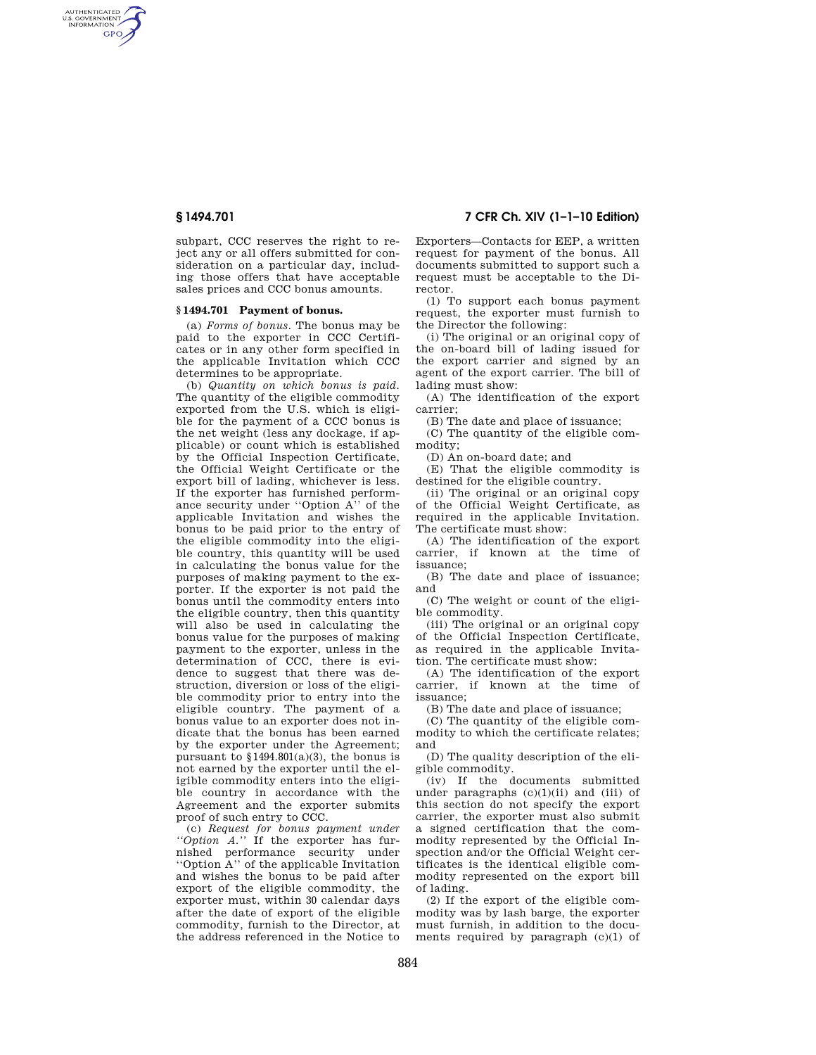AUTHENTICATED<br>U.S. GOVERNMENT<br>INFORMATION **GPO** 

**§ 1494.701 7 CFR Ch. XIV (1–1–10 Edition)** 

subpart, CCC reserves the right to reject any or all offers submitted for consideration on a particular day, including those offers that have acceptable sales prices and CCC bonus amounts.

### **§ 1494.701 Payment of bonus.**

(a) *Forms of bonus.* The bonus may be paid to the exporter in CCC Certificates or in any other form specified in the applicable Invitation which CCC determines to be appropriate.

(b) *Quantity on which bonus is paid.*  The quantity of the eligible commodity exported from the U.S. which is eligible for the payment of a CCC bonus is the net weight (less any dockage, if applicable) or count which is established by the Official Inspection Certificate, the Official Weight Certificate or the export bill of lading, whichever is less. If the exporter has furnished performance security under ''Option A'' of the applicable Invitation and wishes the bonus to be paid prior to the entry of the eligible commodity into the eligible country, this quantity will be used in calculating the bonus value for the purposes of making payment to the exporter. If the exporter is not paid the bonus until the commodity enters into the eligible country, then this quantity will also be used in calculating the bonus value for the purposes of making payment to the exporter, unless in the determination of CCC, there is evidence to suggest that there was destruction, diversion or loss of the eligible commodity prior to entry into the eligible country. The payment of a bonus value to an exporter does not indicate that the bonus has been earned by the exporter under the Agreement; pursuant to  $$1494.801(a)(3)$ , the bonus is not earned by the exporter until the eligible commodity enters into the eligible country in accordance with the Agreement and the exporter submits proof of such entry to CCC.

(c) *Request for bonus payment under ''Option A.''* If the exporter has furnished performance security under ''Option A'' of the applicable Invitation and wishes the bonus to be paid after export of the eligible commodity, the exporter must, within 30 calendar days after the date of export of the eligible commodity, furnish to the Director, at the address referenced in the Notice to

Exporters—Contacts for EEP, a written request for payment of the bonus. All documents submitted to support such a request must be acceptable to the Director.

(1) To support each bonus payment request, the exporter must furnish to the Director the following:

(i) The original or an original copy of the on-board bill of lading issued for the export carrier and signed by an agent of the export carrier. The bill of lading must show:

(A) The identification of the export carrier;

(B) The date and place of issuance;

(C) The quantity of the eligible commodity;

(D) An on-board date; and

(E) That the eligible commodity is destined for the eligible country.

(ii) The original or an original copy of the Official Weight Certificate, as required in the applicable Invitation. The certificate must show:

(A) The identification of the export carrier, if known at the time of issuance;

(B) The date and place of issuance; and

(C) The weight or count of the eligible commodity.

(iii) The original or an original copy of the Official Inspection Certificate, as required in the applicable Invitation. The certificate must show:

(A) The identification of the export carrier, if known at the time of issuance;

(B) The date and place of issuance;

(C) The quantity of the eligible commodity to which the certificate relates; and

(D) The quality description of the eligible commodity.

(iv) If the documents submitted under paragraphs  $(c)(1)(ii)$  and  $(iii)$  of this section do not specify the export carrier, the exporter must also submit a signed certification that the commodity represented by the Official Inspection and/or the Official Weight certificates is the identical eligible commodity represented on the export bill of lading.

(2) If the export of the eligible commodity was by lash barge, the exporter must furnish, in addition to the documents required by paragraph (c)(1) of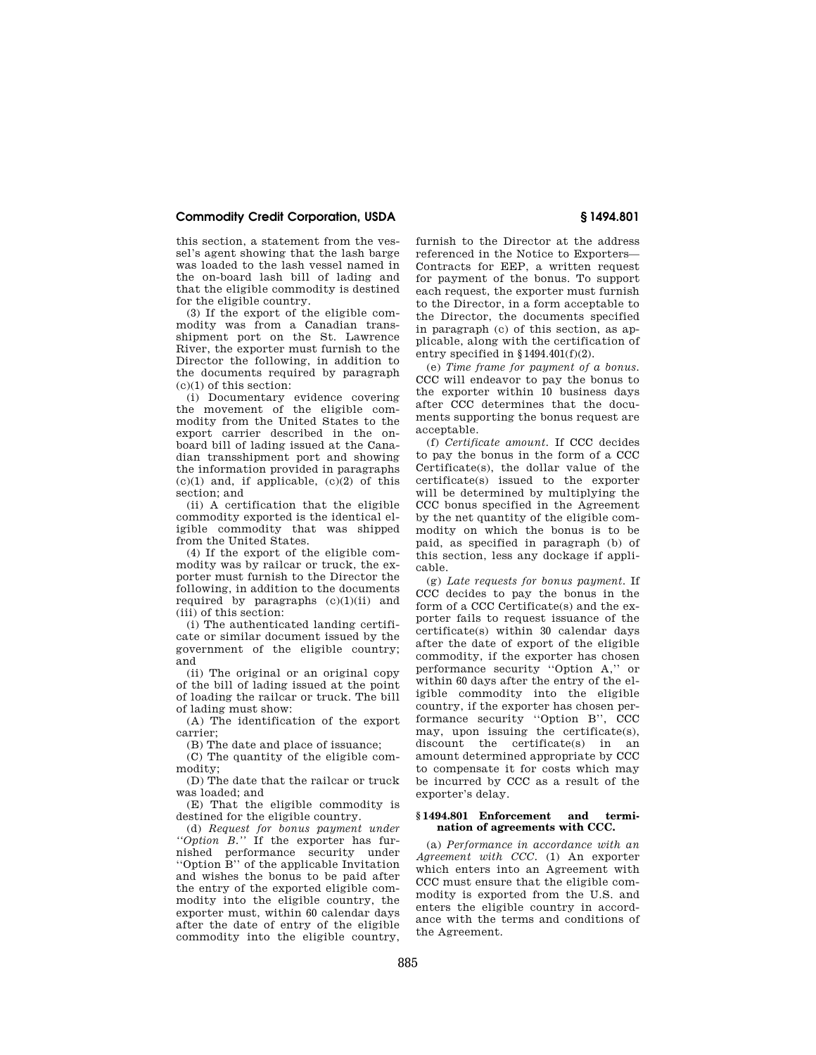## **Commodity Credit Corporation, USDA § 1494.801**

this section, a statement from the vessel's agent showing that the lash barge was loaded to the lash vessel named in the on-board lash bill of lading and that the eligible commodity is destined for the eligible country.

(3) If the export of the eligible commodity was from a Canadian transshipment port on the St. Lawrence River, the exporter must furnish to the Director the following, in addition to the documents required by paragraph  $(c)(1)$  of this section:

(i) Documentary evidence covering the movement of the eligible commodity from the United States to the export carrier described in the onboard bill of lading issued at the Canadian transshipment port and showing the information provided in paragraphs  $(c)(1)$  and, if applicable,  $(c)(2)$  of this section; and

(ii) A certification that the eligible commodity exported is the identical eligible commodity that was shipped from the United States.

(4) If the export of the eligible commodity was by railcar or truck, the exporter must furnish to the Director the following, in addition to the documents required by paragraphs  $(c)(1)(ii)$  and (iii) of this section:

(i) The authenticated landing certificate or similar document issued by the government of the eligible country; and

(ii) The original or an original copy of the bill of lading issued at the point of loading the railcar or truck. The bill of lading must show:

(A) The identification of the export carrier;

(B) The date and place of issuance;

(C) The quantity of the eligible commodity;

(D) The date that the railcar or truck was loaded; and

(E) That the eligible commodity is destined for the eligible country.

(d) *Request for bonus payment under ''Option B.''* If the exporter has furnished performance security under ''Option B'' of the applicable Invitation and wishes the bonus to be paid after the entry of the exported eligible commodity into the eligible country, the exporter must, within 60 calendar days after the date of entry of the eligible commodity into the eligible country,

furnish to the Director at the address referenced in the Notice to Exporters— Contracts for EEP, a written request for payment of the bonus. To support each request, the exporter must furnish to the Director, in a form acceptable to the Director, the documents specified in paragraph (c) of this section, as applicable, along with the certification of entry specified in  $§1494.401(f)(2)$ .

(e) *Time frame for payment of a bonus.*  CCC will endeavor to pay the bonus to the exporter within 10 business days after CCC determines that the documents supporting the bonus request are acceptable.

(f) *Certificate amount.* If CCC decides to pay the bonus in the form of a CCC Certificate(s), the dollar value of the certificate(s) issued to the exporter will be determined by multiplying the CCC bonus specified in the Agreement by the net quantity of the eligible commodity on which the bonus is to be paid, as specified in paragraph (b) of this section, less any dockage if applicable.

(g) *Late requests for bonus payment.* If CCC decides to pay the bonus in the form of a CCC Certificate(s) and the exporter fails to request issuance of the certificate(s) within 30 calendar days after the date of export of the eligible commodity, if the exporter has chosen performance security ''Option A,'' or within 60 days after the entry of the eligible commodity into the eligible country, if the exporter has chosen performance security ''Option B'', CCC may, upon issuing the certificate(s), discount the certificate(s) in an amount determined appropriate by CCC to compensate it for costs which may be incurred by CCC as a result of the exporter's delay.

#### **§ 1494.801 Enforcement and termination of agreements with CCC.**

(a) *Performance in accordance with an Agreement with CCC.* (1) An exporter which enters into an Agreement with CCC must ensure that the eligible commodity is exported from the U.S. and enters the eligible country in accordance with the terms and conditions of the Agreement.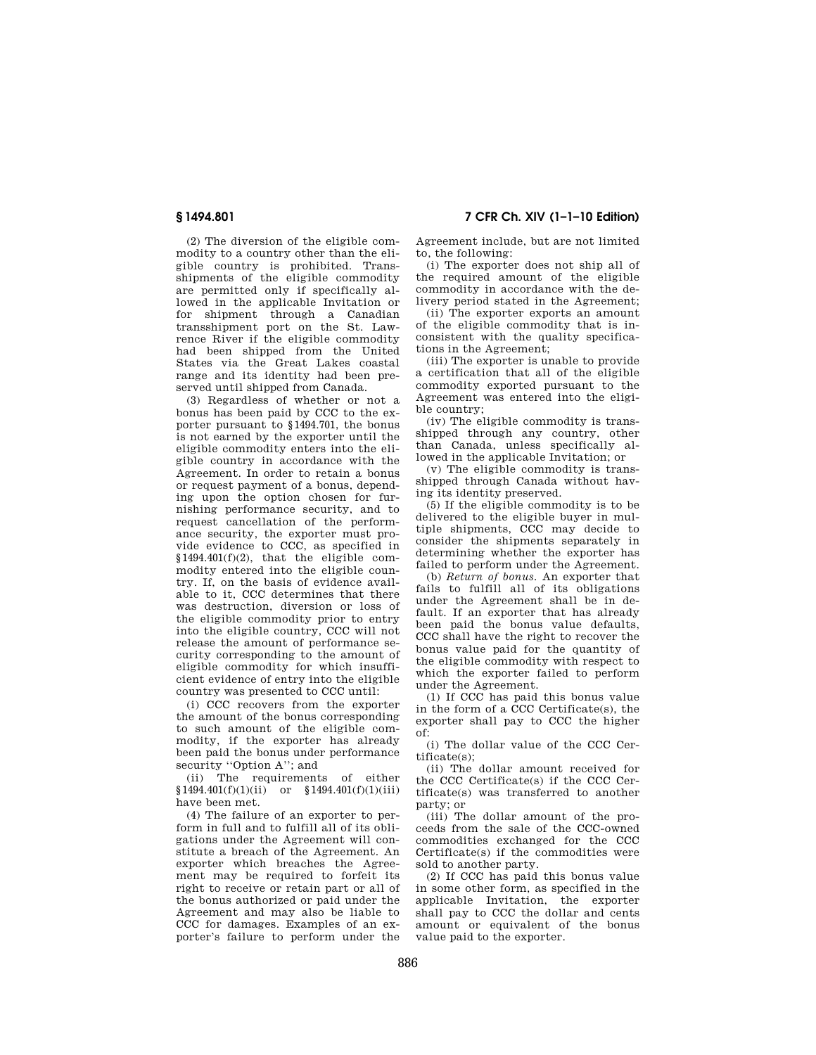(2) The diversion of the eligible commodity to a country other than the eligible country is prohibited. Transshipments of the eligible commodity are permitted only if specifically allowed in the applicable Invitation or for shipment through a Canadian transshipment port on the St. Lawrence River if the eligible commodity had been shipped from the United States via the Great Lakes coastal range and its identity had been preserved until shipped from Canada.

(3) Regardless of whether or not a bonus has been paid by CCC to the exporter pursuant to §1494.701, the bonus is not earned by the exporter until the eligible commodity enters into the eligible country in accordance with the Agreement. In order to retain a bonus or request payment of a bonus, depending upon the option chosen for furnishing performance security, and to request cancellation of the performance security, the exporter must provide evidence to CCC, as specified in §1494.401(f)(2), that the eligible commodity entered into the eligible country. If, on the basis of evidence available to it, CCC determines that there was destruction, diversion or loss of the eligible commodity prior to entry into the eligible country, CCC will not release the amount of performance security corresponding to the amount of eligible commodity for which insufficient evidence of entry into the eligible country was presented to CCC until:

(i) CCC recovers from the exporter the amount of the bonus corresponding to such amount of the eligible commodity, if the exporter has already been paid the bonus under performance security "Option A"; and

(ii) The requirements of either  $$1494.401(f)(1)(ii)$  or  $$1494.401(f)(1)(iii)$ have been met.

(4) The failure of an exporter to perform in full and to fulfill all of its obligations under the Agreement will constitute a breach of the Agreement. An exporter which breaches the Agreement may be required to forfeit its right to receive or retain part or all of the bonus authorized or paid under the Agreement and may also be liable to CCC for damages. Examples of an exporter's failure to perform under the

**§ 1494.801 7 CFR Ch. XIV (1–1–10 Edition)** 

Agreement include, but are not limited to, the following:

(i) The exporter does not ship all of the required amount of the eligible commodity in accordance with the delivery period stated in the Agreement;

(ii) The exporter exports an amount of the eligible commodity that is inconsistent with the quality specifications in the Agreement;

(iii) The exporter is unable to provide a certification that all of the eligible commodity exported pursuant to the Agreement was entered into the eligible country;

(iv) The eligible commodity is transshipped through any country, other than Canada, unless specifically allowed in the applicable Invitation; or

(v) The eligible commodity is transshipped through Canada without having its identity preserved.

(5) If the eligible commodity is to be delivered to the eligible buyer in multiple shipments, CCC may decide to consider the shipments separately in determining whether the exporter has failed to perform under the Agreement.

(b) *Return of bonus.* An exporter that fails to fulfill all of its obligations under the Agreement shall be in default. If an exporter that has already been paid the bonus value defaults, CCC shall have the right to recover the bonus value paid for the quantity of the eligible commodity with respect to which the exporter failed to perform under the Agreement.

(1) If CCC has paid this bonus value in the form of a CCC Certificate(s), the exporter shall pay to CCC the higher  $\circ$ f<sup>:</sup>

(i) The dollar value of the CCC Certificate(s);

(ii) The dollar amount received for the CCC Certificate(s) if the CCC Certificate(s) was transferred to another party; or

(iii) The dollar amount of the proceeds from the sale of the CCC-owned commodities exchanged for the CCC Certificate(s) if the commodities were sold to another party.

(2) If CCC has paid this bonus value in some other form, as specified in the applicable Invitation, the exporter shall pay to CCC the dollar and cents amount or equivalent of the bonus value paid to the exporter.